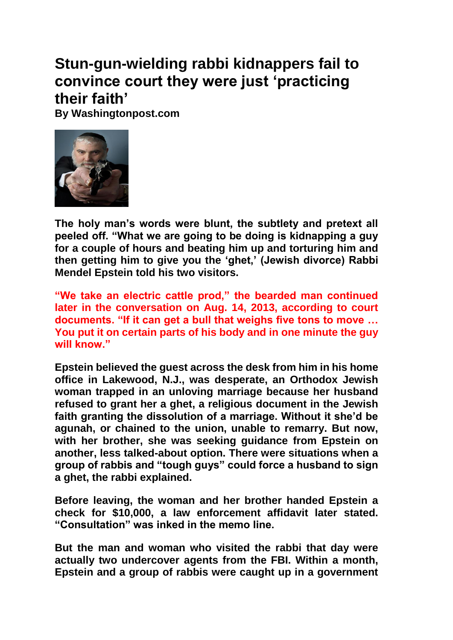## **Stun-gun-wielding rabbi kidnappers fail to convince court they were just 'practicing their faith'**

**By Washingtonpost.com**



**The holy man's words were blunt, the subtlety and pretext all peeled off. "What we are going to be doing is kidnapping a guy for a couple of hours and beating him up and torturing him and then getting him to give you the 'ghet,' (Jewish divorce) Rabbi Mendel Epstein told his two visitors.**

**"We take an electric cattle prod," the bearded man continued later in the conversation on Aug. 14, 2013, according to court documents. "If it can get a bull that weighs five tons to move … You put it on certain parts of his body and in one minute the guy will know."**

**Epstein believed the guest across the desk from him in his home office in Lakewood, N.J., was desperate, an Orthodox Jewish woman trapped in an unloving marriage because her husband refused to grant her a ghet, a religious document in the Jewish faith granting the dissolution of a marriage. Without it she'd be agunah, or chained to the union, unable to remarry. But now, with her brother, she was seeking guidance from Epstein on another, less talked-about option. There were situations when a group of rabbis and "tough guys" could force a husband to sign a ghet, the rabbi explained.**

**Before leaving, the woman and her brother handed Epstein a check for \$10,000, a law enforcement affidavit later stated. "Consultation" was inked in the memo line.**

**But the man and woman who visited the rabbi that day were actually two undercover agents from the FBI. Within a month, Epstein and a group of rabbis were caught up in a government**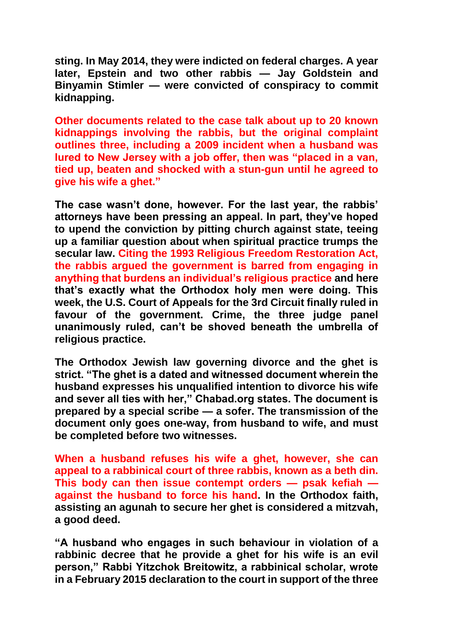**sting. In May 2014, they were indicted on federal charges. A year later, Epstein and two other rabbis — Jay Goldstein and Binyamin Stimler — were convicted of conspiracy to commit kidnapping.**

**Other documents related to the case talk about up to 20 known kidnappings involving the rabbis, but the original complaint outlines three, including a 2009 incident when a husband was lured to New Jersey with a job offer, then was "placed in a van, tied up, beaten and shocked with a stun-gun until he agreed to give his wife a ghet."**

**The case wasn't done, however. For the last year, the rabbis' attorneys have been pressing an appeal. In part, they've hoped to upend the conviction by pitting church against state, teeing up a familiar question about when spiritual practice trumps the secular law. Citing the 1993 Religious Freedom Restoration Act, the rabbis argued the government is barred from engaging in anything that burdens an individual's religious practice and here that's exactly what the Orthodox holy men were doing. This week, the U.S. Court of Appeals for the 3rd Circuit finally ruled in favour of the government. Crime, the three judge panel unanimously ruled, can't be shoved beneath the umbrella of religious practice.**

**The Orthodox Jewish law governing divorce and the ghet is strict. "The ghet is a dated and witnessed document wherein the husband expresses his unqualified intention to divorce his wife and sever all ties with her," Chabad.org states. The document is prepared by a special scribe — a sofer. The transmission of the document only goes one-way, from husband to wife, and must be completed before two witnesses.**

**When a husband refuses his wife a ghet, however, she can appeal to a rabbinical court of three rabbis, known as a beth din. This body can then issue contempt orders — psak kefiah against the husband to force his hand. In the Orthodox faith, assisting an agunah to secure her ghet is considered a mitzvah, a good deed.**

**"A husband who engages in such behaviour in violation of a rabbinic decree that he provide a ghet for his wife is an evil person," Rabbi Yitzchok Breitowitz, a rabbinical scholar, wrote in a February 2015 declaration to the court in support of the three**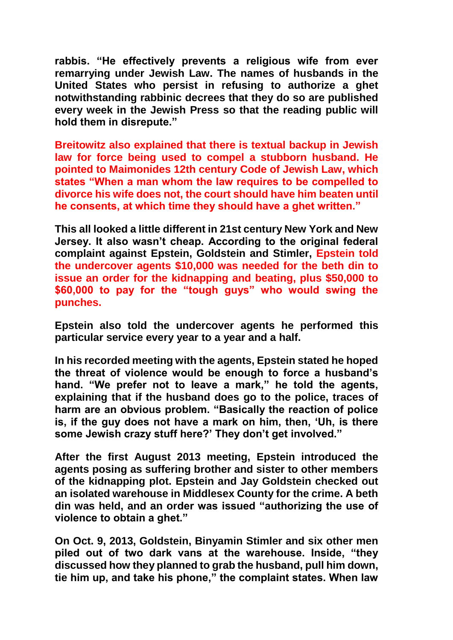**rabbis. "He effectively prevents a religious wife from ever remarrying under Jewish Law. The names of husbands in the United States who persist in refusing to authorize a ghet notwithstanding rabbinic decrees that they do so are published every week in the Jewish Press so that the reading public will hold them in disrepute."**

**Breitowitz also explained that there is textual backup in Jewish law for force being used to compel a stubborn husband. He pointed to Maimonides 12th century Code of Jewish Law, which states "When a man whom the law requires to be compelled to divorce his wife does not, the court should have him beaten until he consents, at which time they should have a ghet written."**

**This all looked a little different in 21st century New York and New Jersey. It also wasn't cheap. According to the original federal complaint against Epstein, Goldstein and Stimler, Epstein told the undercover agents \$10,000 was needed for the beth din to issue an order for the kidnapping and beating, plus \$50,000 to \$60,000 to pay for the "tough guys" who would swing the punches.**

**Epstein also told the undercover agents he performed this particular service every year to a year and a half.**

**In his recorded meeting with the agents, Epstein stated he hoped the threat of violence would be enough to force a husband's hand. "We prefer not to leave a mark," he told the agents, explaining that if the husband does go to the police, traces of harm are an obvious problem. "Basically the reaction of police is, if the guy does not have a mark on him, then, 'Uh, is there some Jewish crazy stuff here?' They don't get involved."**

**After the first August 2013 meeting, Epstein introduced the agents posing as suffering brother and sister to other members of the kidnapping plot. Epstein and Jay Goldstein checked out an isolated warehouse in Middlesex County for the crime. A beth din was held, and an order was issued "authorizing the use of violence to obtain a ghet."**

**On Oct. 9, 2013, Goldstein, Binyamin Stimler and six other men piled out of two dark vans at the warehouse. Inside, "they discussed how they planned to grab the husband, pull him down, tie him up, and take his phone," the complaint states. When law**